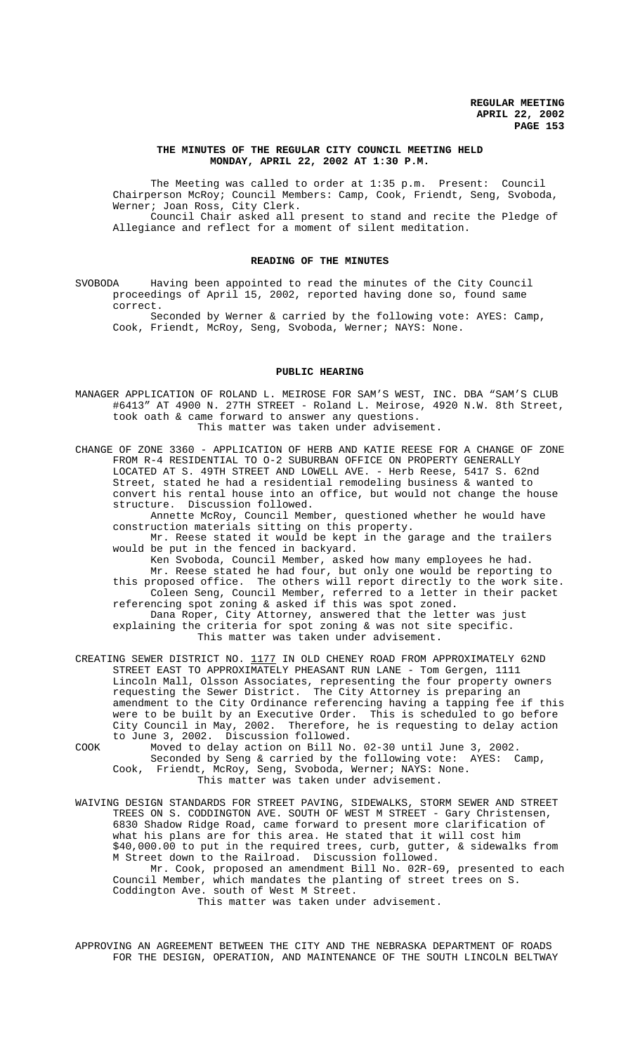## **THE MINUTES OF THE REGULAR CITY COUNCIL MEETING HELD MONDAY, APRIL 22, 2002 AT 1:30 P.M.**

The Meeting was called to order at 1:35 p.m. Present: Council Chairperson McRoy; Council Members: Camp, Cook, Friendt, Seng, Svoboda, Werner; Joan Ross, City Clerk. Council Chair asked all present to stand and recite the Pledge of Allegiance and reflect for a moment of silent meditation.

## **READING OF THE MINUTES**

SVOBODA Having been appointed to read the minutes of the City Council proceedings of April 15, 2002, reported having done so, found same correct.

Seconded by Werner & carried by the following vote: AYES: Camp, Cook, Friendt, McRoy, Seng, Svoboda, Werner; NAYS: None.

#### **PUBLIC HEARING**

MANAGER APPLICATION OF ROLAND L. MEIROSE FOR SAM'S WEST, INC. DBA "SAM'S CLUB #6413" AT 4900 N. 27TH STREET - Roland L. Meirose, 4920 N.W. 8th Street, took oath & came forward to answer any questions. This matter was taken under advisement.

CHANGE OF ZONE 3360 - APPLICATION OF HERB AND KATIE REESE FOR A CHANGE OF ZONE FROM R-4 RESIDENTIAL TO O-2 SUBURBAN OFFICE ON PROPERTY GENERALLY LOCATED AT S. 49TH STREET AND LOWELL AVE. - Herb Reese, 5417 S. 62nd Street, stated he had a residential remodeling business & wanted to convert his rental house into an office, but would not change the house structure. Discussion followed.

Annette McRoy, Council Member, questioned whether he would have construction materials sitting on this property.

Mr. Reese stated it would be kept in the garage and the trailers would be put in the fenced in backyard.

Ken Svoboda, Council Member, asked how many employees he had. Mr. Reese stated he had four, but only one would be reporting to this proposed office. The others will report directly to the work site. Coleen Seng, Council Member, referred to a letter in their packet referencing spot zoning & asked if this was spot zoned. Dana Roper, City Attorney, answered that the letter was just explaining the criteria for spot zoning & was not site specific. This matter was taken under advisement.

CREATING SEWER DISTRICT NO. 1177 IN OLD CHENEY ROAD FROM APPROXIMATELY 62ND STREET EAST TO APPROXIMATELY PHEASANT RUN LANE - Tom Gergen, 1111 Lincoln Mall, Olsson Associates, representing the four property owners requesting the Sewer District. The City Attorney is preparing an amendment to the City Ordinance referencing having a tapping fee if this were to be built by an Executive Order. This is scheduled to go before City Council in May, 2002. Therefore, he is requesting to delay action to June 3, 2002. Discussion followed.

COOK Moved to delay action on Bill No. 02-30 until June 3, 2002. Seconded by Seng & carried by the following vote: AYES: Camp, Cook, Friendt, McRoy, Seng, Svoboda, Werner; NAYS: None. This matter was taken under advisement.

WAIVING DESIGN STANDARDS FOR STREET PAVING, SIDEWALKS, STORM SEWER AND STREET TREES ON S. CODDINGTON AVE. SOUTH OF WEST M STREET - Gary Christensen, 6830 Shadow Ridge Road, came forward to present more clarification of what his plans are for this area. He stated that it will cost him \$40,000.00 to put in the required trees, curb, gutter, & sidewalks from M Street down to the Railroad. Discussion followed. Mr. Cook, proposed an amendment Bill No. 02R-69, presented to each Council Member, which mandates the planting of street trees on S. Coddington Ave. south of West M Street. This matter was taken under advisement.

APPROVING AN AGREEMENT BETWEEN THE CITY AND THE NEBRASKA DEPARTMENT OF ROADS FOR THE DESIGN, OPERATION, AND MAINTENANCE OF THE SOUTH LINCOLN BELTWAY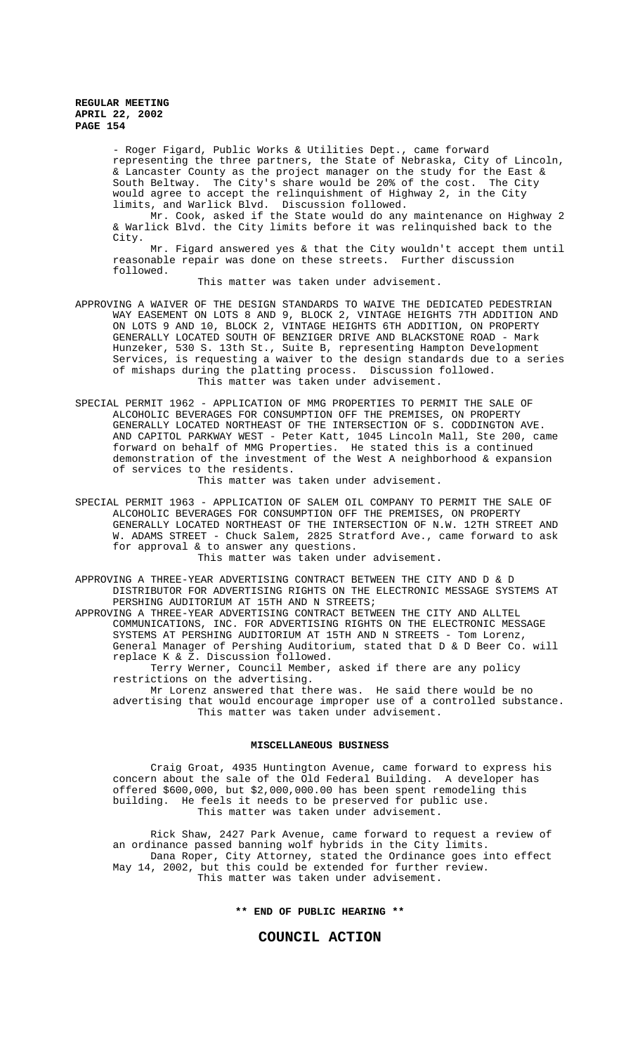> - Roger Figard, Public Works & Utilities Dept., came forward representing the three partners, the State of Nebraska, City of Lincoln, & Lancaster County as the project manager on the study for the East & South Beltway. The City's share would be 20% of the cost. would agree to accept the relinquishment of Highway 2, in the City limits, and Warlick Blvd. Discussion followed.

> Mr. Cook, asked if the State would do any maintenance on Highway 2 & Warlick Blvd. the City limits before it was relinquished back to the City.

> Mr. Figard answered yes & that the City wouldn't accept them until reasonable repair was done on these streets. Further discussion followed.

> > This matter was taken under advisement.

- APPROVING A WAIVER OF THE DESIGN STANDARDS TO WAIVE THE DEDICATED PEDESTRIAN WAY EASEMENT ON LOTS 8 AND 9, BLOCK 2, VINTAGE HEIGHTS 7TH ADDITION AND ON LOTS 9 AND 10, BLOCK 2, VINTAGE HEIGHTS 6TH ADDITION, ON PROPERTY GENERALLY LOCATED SOUTH OF BENZIGER DRIVE AND BLACKSTONE ROAD - Mark Hunzeker, 530 S. 13th St., Suite B, representing Hampton Development Services, is requesting a waiver to the design standards due to a series of mishaps during the platting process. Discussion followed. This matter was taken under advisement.
- SPECIAL PERMIT 1962 APPLICATION OF MMG PROPERTIES TO PERMIT THE SALE OF ALCOHOLIC BEVERAGES FOR CONSUMPTION OFF THE PREMISES, ON PROPERTY GENERALLY LOCATED NORTHEAST OF THE INTERSECTION OF S. CODDINGTON AVE. AND CAPITOL PARKWAY WEST - Peter Katt, 1045 Lincoln Mall, Ste 200, came forward on behalf of MMG Properties. He stated this is a continued demonstration of the investment of the West A neighborhood & expansion of services to the residents.

This matter was taken under advisement.

SPECIAL PERMIT 1963 - APPLICATION OF SALEM OIL COMPANY TO PERMIT THE SALE OF ALCOHOLIC BEVERAGES FOR CONSUMPTION OFF THE PREMISES, ON PROPERTY GENERALLY LOCATED NORTHEAST OF THE INTERSECTION OF N.W. 12TH STREET AND W. ADAMS STREET - Chuck Salem, 2825 Stratford Ave., came forward to ask for approval & to answer any questions.

This matter was taken under advisement.

APPROVING A THREE-YEAR ADVERTISING CONTRACT BETWEEN THE CITY AND D & D DISTRIBUTOR FOR ADVERTISING RIGHTS ON THE ELECTRONIC MESSAGE SYSTEMS AT PERSHING AUDITORIUM AT 15TH AND N STREETS;

APPROVING A THREE-YEAR ADVERTISING CONTRACT BETWEEN THE CITY AND ALLTEL COMMUNICATIONS, INC. FOR ADVERTISING RIGHTS ON THE ELECTRONIC MESSAGE SYSTEMS AT PERSHING AUDITORIUM AT 15TH AND N STREETS - Tom Lorenz, General Manager of Pershing Auditorium, stated that D & D Beer Co. will replace K & Z. Discussion followed.

Terry Werner, Council Member, asked if there are any policy restrictions on the advertising.

Mr Lorenz answered that there was. He said there would be no advertising that would encourage improper use of a controlled substance. This matter was taken under advisement.

#### **MISCELLANEOUS BUSINESS**

Craig Groat, 4935 Huntington Avenue, came forward to express his concern about the sale of the Old Federal Building. A developer has offered \$600,000, but \$2,000,000.00 has been spent remodeling this building. He feels it needs to be preserved for public use. This matter was taken under advisement.

Rick Shaw, 2427 Park Avenue, came forward to request a review of an ordinance passed banning wolf hybrids in the City limits. Dana Roper, City Attorney, stated the Ordinance goes into effect May 14, 2002, but this could be extended for further review. This matter was taken under advisement.

**\*\* END OF PUBLIC HEARING \*\***

# **COUNCIL ACTION**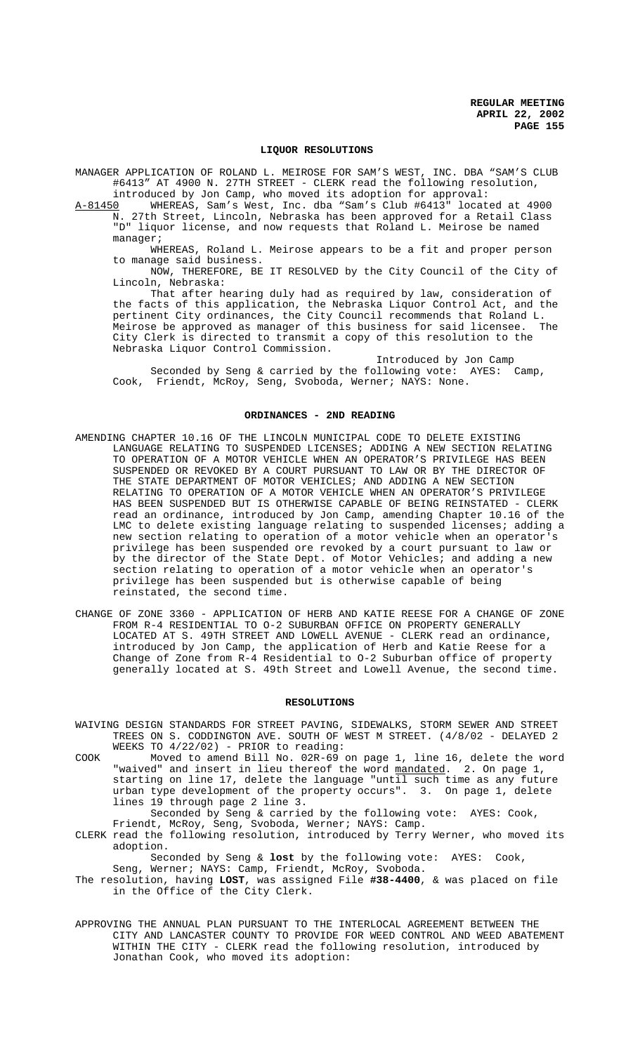## **LIQUOR RESOLUTIONS**

MANAGER APPLICATION OF ROLAND L. MEIROSE FOR SAM'S WEST, INC. DBA "SAM'S CLUB #6413" AT 4900 N. 27TH STREET - CLERK read the following resolution, introduced by Jon Camp, who moved its adoption for approval:

A-81450 WHEREAS, Sam's West, Inc. dba "Sam's Club #6413" located at 4900 N. 27th Street, Lincoln, Nebraska has been approved for a Retail Class "D" liquor license, and now requests that Roland L. Meirose be named manager;

WHEREAS, Roland L. Meirose appears to be a fit and proper person to manage said business.

NOW, THEREFORE, BE IT RESOLVED by the City Council of the City of Lincoln, Nebraska:

That after hearing duly had as required by law, consideration of the facts of this application, the Nebraska Liquor Control Act, and the pertinent City ordinances, the City Council recommends that Roland L. Meirose be approved as manager of this business for said licensee. The City Clerk is directed to transmit a copy of this resolution to the Nebraska Liquor Control Commission.

Introduced by Jon Camp Seconded by Seng & carried by the following vote: AYES: Camp, Cook, Friendt, McRoy, Seng, Svoboda, Werner; NAYS: None.

#### **ORDINANCES - 2ND READING**

- AMENDING CHAPTER 10.16 OF THE LINCOLN MUNICIPAL CODE TO DELETE EXISTING LANGUAGE RELATING TO SUSPENDED LICENSES; ADDING A NEW SECTION RELATING TO OPERATION OF A MOTOR VEHICLE WHEN AN OPERATOR'S PRIVILEGE HAS BEEN SUSPENDED OR REVOKED BY A COURT PURSUANT TO LAW OR BY THE DIRECTOR OF THE STATE DEPARTMENT OF MOTOR VEHICLES; AND ADDING A NEW SECTION RELATING TO OPERATION OF A MOTOR VEHICLE WHEN AN OPERATOR'S PRIVILEGE HAS BEEN SUSPENDED BUT IS OTHERWISE CAPABLE OF BEING REINSTATED - CLERK read an ordinance, introduced by Jon Camp, amending Chapter 10.16 of the LMC to delete existing language relating to suspended licenses; adding a new section relating to operation of a motor vehicle when an operator's privilege has been suspended ore revoked by a court pursuant to law or by the director of the State Dept. of Motor Vehicles; and adding a new section relating to operation of a motor vehicle when an operator's privilege has been suspended but is otherwise capable of being reinstated, the second time.
- CHANGE OF ZONE 3360 APPLICATION OF HERB AND KATIE REESE FOR A CHANGE OF ZONE FROM R-4 RESIDENTIAL TO O-2 SUBURBAN OFFICE ON PROPERTY GENERALLY LOCATED AT S. 49TH STREET AND LOWELL AVENUE - CLERK read an ordinance, introduced by Jon Camp, the application of Herb and Katie Reese for a Change of Zone from R-4 Residential to O-2 Suburban office of property generally located at S. 49th Street and Lowell Avenue, the second time.

#### **RESOLUTIONS**

- WAIVING DESIGN STANDARDS FOR STREET PAVING, SIDEWALKS, STORM SEWER AND STREET TREES ON S. CODDINGTON AVE. SOUTH OF WEST M STREET. (4/8/02 - DELAYED 2 WEEKS TO 4/22/02) - PRIOR to reading:
- COOK Moved to amend Bill No. 02R-69 on page 1, line 16, delete the word "waived" and insert in lieu thereof the word mandated. 2. On page 1, waived and institute the theorem of the set of the same starting on line 17, delete the language "until such time as any future urban type development of the property occurs". 3. On page 1, delete lines 19 through page 2 line 3.

Seconded by Seng & carried by the following vote: AYES: Cook, Friendt, McRoy, Seng, Svoboda, Werner; NAYS: Camp.

CLERK read the following resolution, introduced by Terry Werner, who moved its adoption.

Seconded by Seng & **lost** by the following vote: AYES: Cook, Seng, Werner; NAYS: Camp, Friendt, McRoy, Svoboda.

- The resolution, having **LOST**, was assigned File **#38-4400**, & was placed on file in the Office of the City Clerk.
- APPROVING THE ANNUAL PLAN PURSUANT TO THE INTERLOCAL AGREEMENT BETWEEN THE CITY AND LANCASTER COUNTY TO PROVIDE FOR WEED CONTROL AND WEED ABATEMENT WITHIN THE CITY - CLERK read the following resolution, introduced by Jonathan Cook, who moved its adoption: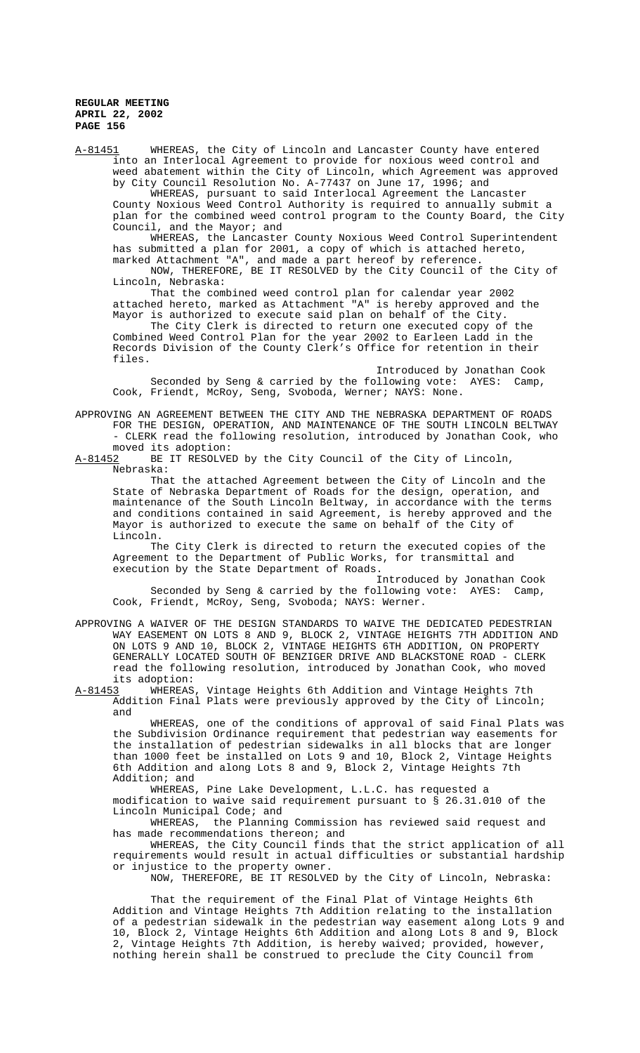A-81451 WHEREAS, the City of Lincoln and Lancaster County have entered into an Interlocal Agreement to provide for noxious weed control and weed abatement within the City of Lincoln, which Agreement was approved by City Council Resolution No. A-77437 on June 17, 1996; and

WHEREAS, pursuant to said Interlocal Agreement the Lancaster County Noxious Weed Control Authority is required to annually submit a plan for the combined weed control program to the County Board, the City Council, and the Mayor; and

WHEREAS, the Lancaster County Noxious Weed Control Superintendent has submitted a plan for 2001, a copy of which is attached hereto, marked Attachment "A", and made a part hereof by reference.

NOW, THEREFORE, BE IT RESOLVED by the City Council of the City of Lincoln, Nebraska:

That the combined weed control plan for calendar year 2002 attached hereto, marked as Attachment "A" is hereby approved and the Mayor is authorized to execute said plan on behalf of the City.

The City Clerk is directed to return one executed copy of the Combined Weed Control Plan for the year 2002 to Earleen Ladd in the Records Division of the County Clerk's Office for retention in their files.

Introduced by Jonathan Cook Seconded by Seng & carried by the following vote: AYES: Camp, Cook, Friendt, McRoy, Seng, Svoboda, Werner; NAYS: None.

APPROVING AN AGREEMENT BETWEEN THE CITY AND THE NEBRASKA DEPARTMENT OF ROADS FOR THE DESIGN, OPERATION, AND MAINTENANCE OF THE SOUTH LINCOLN BELTWAY - CLERK read the following resolution, introduced by Jonathan Cook, who moved its adoption:

A-81452 BE IT RESOLVED by the City Council of the City of Lincoln, Nebraska:

That the attached Agreement between the City of Lincoln and the State of Nebraska Department of Roads for the design, operation, and maintenance of the South Lincoln Beltway, in accordance with the terms and conditions contained in said Agreement, is hereby approved and the Mayor is authorized to execute the same on behalf of the City of Lincoln.

The City Clerk is directed to return the executed copies of the Agreement to the Department of Public Works, for transmittal and execution by the State Department of Roads.

Introduced by Jonathan Cook Seconded by Seng & carried by the following vote: AYES: Camp, Cook, Friendt, McRoy, Seng, Svoboda; NAYS: Werner.

APPROVING A WAIVER OF THE DESIGN STANDARDS TO WAIVE THE DEDICATED PEDESTRIAN WAY EASEMENT ON LOTS 8 AND 9, BLOCK 2, VINTAGE HEIGHTS 7TH ADDITION AND ON LOTS 9 AND 10, BLOCK 2, VINTAGE HEIGHTS 6TH ADDITION, ON PROPERTY GENERALLY LOCATED SOUTH OF BENZIGER DRIVE AND BLACKSTONE ROAD - CLERK read the following resolution, introduced by Jonathan Cook, who moved

its adoption:<br><u>A-81453</u> WHEREAS WHEREAS, Vintage Heights 6th Addition and Vintage Heights 7th Addition Final Plats were previously approved by the City of Lincoln; and

WHEREAS, one of the conditions of approval of said Final Plats was the Subdivision Ordinance requirement that pedestrian way easements for the installation of pedestrian sidewalks in all blocks that are longer than 1000 feet be installed on Lots 9 and 10, Block 2, Vintage Heights 6th Addition and along Lots 8 and 9, Block 2, Vintage Heights 7th Addition; and

WHEREAS, Pine Lake Development, L.L.C. has requested a modification to waive said requirement pursuant to § 26.31.010 of the Lincoln Municipal Code; and

WHEREAS, the Planning Commission has reviewed said request and has made recommendations thereon; and

WHEREAS, the City Council finds that the strict application of all requirements would result in actual difficulties or substantial hardship or injustice to the property owner.

NOW, THEREFORE, BE IT RESOLVED by the City of Lincoln, Nebraska:

That the requirement of the Final Plat of Vintage Heights 6th Addition and Vintage Heights 7th Addition relating to the installation of a pedestrian sidewalk in the pedestrian way easement along Lots 9 and 10, Block 2, Vintage Heights 6th Addition and along Lots 8 and 9, Block 2, Vintage Heights 7th Addition, is hereby waived; provided, however, nothing herein shall be construed to preclude the City Council from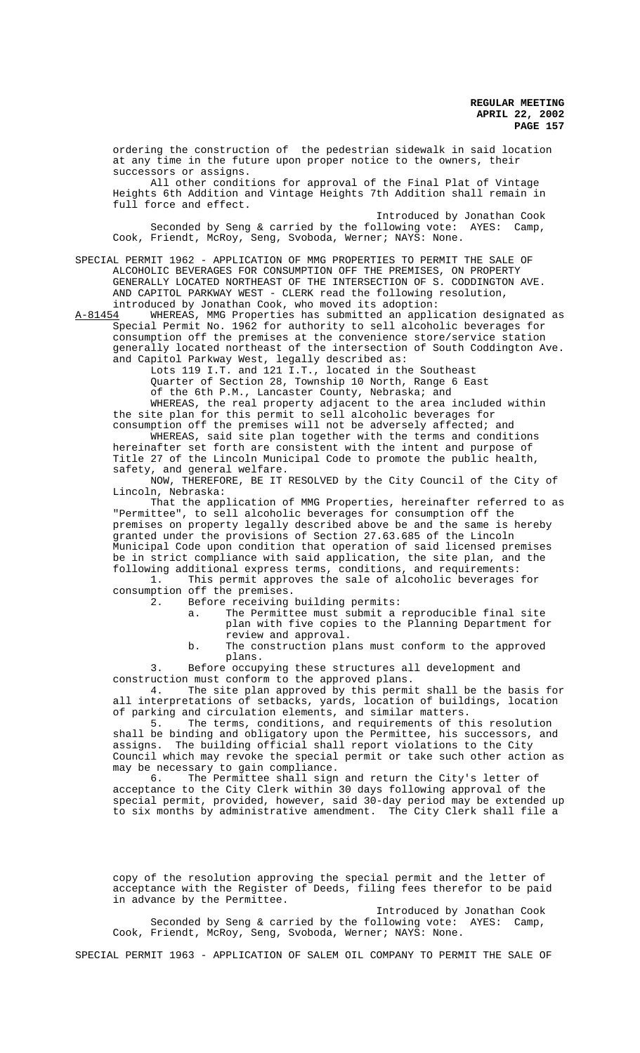ordering the construction of the pedestrian sidewalk in said location at any time in the future upon proper notice to the owners, their successors or assigns.

All other conditions for approval of the Final Plat of Vintage Heights 6th Addition and Vintage Heights 7th Addition shall remain in full force and effect.

Introduced by Jonathan Cook Seconded by Seng & carried by the following vote: AYES: Camp, Cook, Friendt, McRoy, Seng, Svoboda, Werner; NAYS: None.

SPECIAL PERMIT 1962 - APPLICATION OF MMG PROPERTIES TO PERMIT THE SALE OF ALCOHOLIC BEVERAGES FOR CONSUMPTION OFF THE PREMISES, ON PROPERTY GENERALLY LOCATED NORTHEAST OF THE INTERSECTION OF S. CODDINGTON AVE. AND CAPITOL PARKWAY WEST - CLERK read the following resolution, introduced by Jonathan Cook, who moved its adoption:

A-81454 WHEREAS, MMG Properties has submitted an application designated as Special Permit No. 1962 for authority to sell alcoholic beverages for consumption off the premises at the convenience store/service station generally located northeast of the intersection of South Coddington Ave. and Capitol Parkway West, legally described as:

Lots 119 I.T. and 121 I.T., located in the Southeast Quarter of Section 28, Township 10 North, Range 6 East of the 6th P.M., Lancaster County, Nebraska; and

WHEREAS, the real property adjacent to the area included within the site plan for this permit to sell alcoholic beverages for consumption off the premises will not be adversely affected; and

WHEREAS, said site plan together with the terms and conditions hereinafter set forth are consistent with the intent and purpose of Title 27 of the Lincoln Municipal Code to promote the public health, safety, and general welfare.

NOW, THEREFORE, BE IT RESOLVED by the City Council of the City of Lincoln, Nebraska:

That the application of MMG Properties, hereinafter referred to as "Permittee", to sell alcoholic beverages for consumption off the premises on property legally described above be and the same is hereby granted under the provisions of Section 27.63.685 of the Lincoln Municipal Code upon condition that operation of said licensed premises be in strict compliance with said application, the site plan, and the following additional express terms, conditions, and requirements:

1. This permit approves the sale of alcoholic beverages for consumption off the premises.<br>2. Before receiving

- Before receiving building permits:
	- a. The Permittee must submit a reproducible final site plan with five copies to the Planning Department for review and approval.

b. The construction plans must conform to the approved plans.

3. Before occupying these structures all development and construction must conform to the approved plans.<br>4. The site plan approved by this permi

The site plan approved by this permit shall be the basis for all interpretations of setbacks, yards, location of buildings, location of parking and circulation elements, and similar matters.<br>5. The terms, conditions, and requirements of the

The terms, conditions, and requirements of this resolution shall be binding and obligatory upon the Permittee, his successors, and assigns. The building official shall report violations to the City Council which may revoke the special permit or take such other action as may be necessary to gain compliance.

6. The Permittee shall sign and return the City's letter of acceptance to the City Clerk within 30 days following approval of the special permit, provided, however, said 30-day period may be extended up to six months by administrative amendment. The City Clerk shall file a

copy of the resolution approving the special permit and the letter of acceptance with the Register of Deeds, filing fees therefor to be paid in advance by the Permittee.

Introduced by Jonathan Cook Seconded by Seng & carried by the following vote: AYES: Camp, Cook, Friendt, McRoy, Seng, Svoboda, Werner; NAYS: None.

SPECIAL PERMIT 1963 - APPLICATION OF SALEM OIL COMPANY TO PERMIT THE SALE OF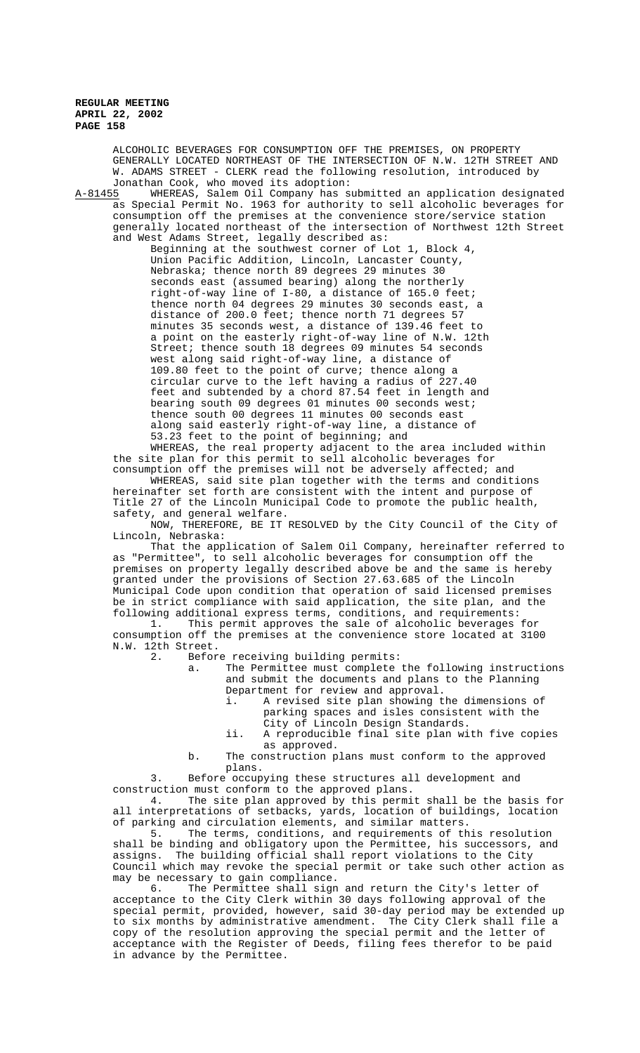ALCOHOLIC BEVERAGES FOR CONSUMPTION OFF THE PREMISES, ON PROPERTY GENERALLY LOCATED NORTHEAST OF THE INTERSECTION OF N.W. 12TH STREET AND W. ADAMS STREET - CLERK read the following resolution, introduced by Jonathan Cook, who moved its adoption:

A-81455 WHEREAS, Salem Oil Company has submitted an application designated as Special Permit No. 1963 for authority to sell alcoholic beverages for consumption off the premises at the convenience store/service station generally located northeast of the intersection of Northwest 12th Street and West Adams Street, legally described as:

Beginning at the southwest corner of Lot 1, Block 4, Union Pacific Addition, Lincoln, Lancaster County, Nebraska; thence north 89 degrees 29 minutes 30 seconds east (assumed bearing) along the northerly right-of-way line of I-80, a distance of 165.0 feet; thence north 04 degrees 29 minutes 30 seconds east, a distance of 200.0 feet; thence north 71 degrees 57 minutes 35 seconds west, a distance of 139.46 feet to a point on the easterly right-of-way line of N.W. 12th Street; thence south 18 degrees 09 minutes 54 seconds west along said right-of-way line, a distance of 109.80 feet to the point of curve; thence along a circular curve to the left having a radius of 227.40 feet and subtended by a chord 87.54 feet in length and bearing south 09 degrees 01 minutes 00 seconds west; thence south 00 degrees 11 minutes 00 seconds east along said easterly right-of-way line, a distance of 53.23 feet to the point of beginning; and

WHEREAS, the real property adjacent to the area included within the site plan for this permit to sell alcoholic beverages for consumption off the premises will not be adversely affected; and

WHEREAS, said site plan together with the terms and conditions hereinafter set forth are consistent with the intent and purpose of Title 27 of the Lincoln Municipal Code to promote the public health, safety, and general welfare.

NOW, THEREFORE, BE IT RESOLVED by the City Council of the City of Lincoln, Nebraska:

That the application of Salem Oil Company, hereinafter referred to as "Permittee", to sell alcoholic beverages for consumption off the premises on property legally described above be and the same is hereby granted under the provisions of Section 27.63.685 of the Lincoln Municipal Code upon condition that operation of said licensed premises be in strict compliance with said application, the site plan, and the following additional express terms, conditions, and requirements:

1. This permit approves the sale of alcoholic beverages for consumption off the premises at the convenience store located at 3100 N.W. 12th Street.<br>2. Befor

Before receiving building permits:

a. The Permittee must complete the following instructions and submit the documents and plans to the Planning Department for review and approval.

- i. A revised site plan showing the dimensions of parking spaces and isles consistent with the City of Lincoln Design Standards.
- ii. A reproducible final site plan with five copies as approved.

b. The construction plans must conform to the approved plans.

3. Before occupying these structures all development and

construction must conform to the approved plans.<br>4. The site plan approved by this permi The site plan approved by this permit shall be the basis for all interpretations of setbacks, yards, location of buildings, location of parking and circulation elements, and similar matters.

5. The terms, conditions, and requirements of this resolution shall be binding and obligatory upon the Permittee, his successors, and assigns. The building official shall report violations to the City Council which may revoke the special permit or take such other action as may be necessary to gain compliance.

6. The Permittee shall sign and return the City's letter of acceptance to the City Clerk within 30 days following approval of the special permit, provided, however, said 30-day period may be extended up to six months by administrative amendment. The City Clerk shall file a copy of the resolution approving the special permit and the letter of acceptance with the Register of Deeds, filing fees therefor to be paid in advance by the Permittee.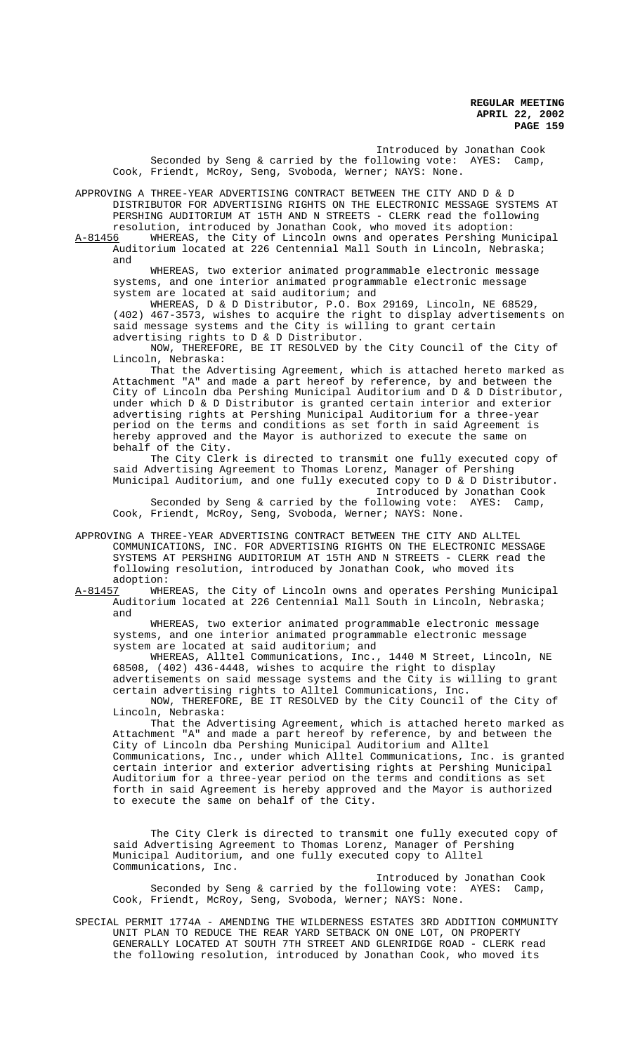Introduced by Jonathan Cook Seconded by Seng & carried by the following vote: AYES: Camp, Cook, Friendt, McRoy, Seng, Svoboda, Werner; NAYS: None.

APPROVING A THREE-YEAR ADVERTISING CONTRACT BETWEEN THE CITY AND D & D DISTRIBUTOR FOR ADVERTISING RIGHTS ON THE ELECTRONIC MESSAGE SYSTEMS AT PERSHING AUDITORIUM AT 15TH AND N STREETS - CLERK read the following resolution, introduced by Jonathan Cook, who moved its adoption:

A-81456 WHEREAS, the City of Lincoln owns and operates Pershing Municipal Auditorium located at 226 Centennial Mall South in Lincoln, Nebraska; and

WHEREAS, two exterior animated programmable electronic message systems, and one interior animated programmable electronic message system are located at said auditorium; and

WHEREAS, D & D Distributor, P.O. Box 29169, Lincoln, NE 68529, (402) 467-3573, wishes to acquire the right to display advertisements on said message systems and the City is willing to grant certain advertising rights to D & D Distributor.

NOW, THEREFORE, BE IT RESOLVED by the City Council of the City of Lincoln, Nebraska:

That the Advertising Agreement, which is attached hereto marked as Attachment "A" and made a part hereof by reference, by and between the City of Lincoln dba Pershing Municipal Auditorium and D & D Distributor, under which D & D Distributor is granted certain interior and exterior advertising rights at Pershing Municipal Auditorium for a three-year period on the terms and conditions as set forth in said Agreement is hereby approved and the Mayor is authorized to execute the same on behalf of the City.

The City Clerk is directed to transmit one fully executed copy of said Advertising Agreement to Thomas Lorenz, Manager of Pershing Municipal Auditorium, and one fully executed copy to D & D Distributor. Introduced by Jonathan Cook

Seconded by Seng & carried by the following vote: AYES: Camp, Cook, Friendt, McRoy, Seng, Svoboda, Werner; NAYS: None.

APPROVING A THREE-YEAR ADVERTISING CONTRACT BETWEEN THE CITY AND ALLTEL COMMUNICATIONS, INC. FOR ADVERTISING RIGHTS ON THE ELECTRONIC MESSAGE SYSTEMS AT PERSHING AUDITORIUM AT 15TH AND N STREETS - CLERK read the following resolution, introduced by Jonathan Cook, who moved its

adoption:<br><u>A-81457</u> WHE WHEREAS, the City of Lincoln owns and operates Pershing Municipal Auditorium located at 226 Centennial Mall South in Lincoln, Nebraska; and

WHEREAS, two exterior animated programmable electronic message systems, and one interior animated programmable electronic message system are located at said auditorium; and

WHEREAS, Alltel Communications, Inc., 1440 M Street, Lincoln, NE 68508, (402) 436-4448, wishes to acquire the right to display advertisements on said message systems and the City is willing to grant certain advertising rights to Alltel Communications, Inc. NOW, THEREFORE, BE IT RESOLVED by the City Council of the City of

Lincoln, Nebraska:

That the Advertising Agreement, which is attached hereto marked as Attachment "A" and made a part hereof by reference, by and between the City of Lincoln dba Pershing Municipal Auditorium and Alltel Communications, Inc., under which Alltel Communications, Inc. is granted certain interior and exterior advertising rights at Pershing Municipal Auditorium for a three-year period on the terms and conditions as set forth in said Agreement is hereby approved and the Mayor is authorized to execute the same on behalf of the City.

The City Clerk is directed to transmit one fully executed copy of said Advertising Agreement to Thomas Lorenz, Manager of Pershing Municipal Auditorium, and one fully executed copy to Alltel Communications, Inc.

Introduced by Jonathan Cook Seconded by Seng & carried by the following vote: AYES: Camp, Cook, Friendt, McRoy, Seng, Svoboda, Werner; NAYS: None.

SPECIAL PERMIT 1774A - AMENDING THE WILDERNESS ESTATES 3RD ADDITION COMMUNITY UNIT PLAN TO REDUCE THE REAR YARD SETBACK ON ONE LOT, ON PROPERTY GENERALLY LOCATED AT SOUTH 7TH STREET AND GLENRIDGE ROAD - CLERK read the following resolution, introduced by Jonathan Cook, who moved its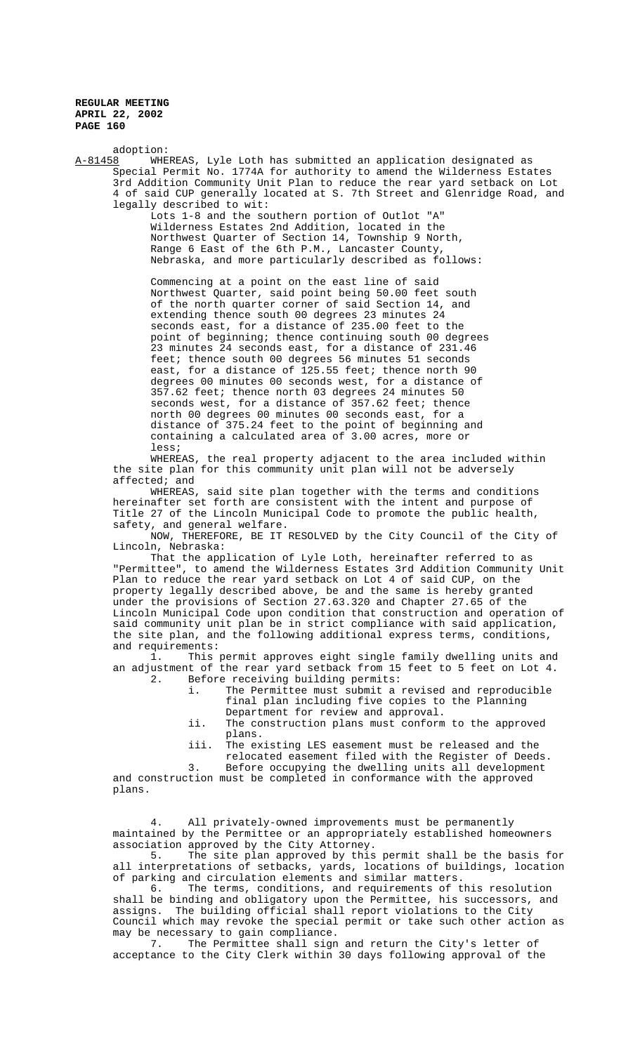plans.

adoption:<br>A-81458 WHE WHEREAS, Lyle Loth has submitted an application designated as Special Permit No. 1774A for authority to amend the Wilderness Estates 3rd Addition Community Unit Plan to reduce the rear yard setback on Lot 4 of said CUP generally located at S. 7th Street and Glenridge Road, and legally described to wit:

Lots 1-8 and the southern portion of Outlot "A" Wilderness Estates 2nd Addition, located in the Northwest Quarter of Section 14, Township 9 North, Range 6 East of the 6th P.M., Lancaster County, Nebraska, and more particularly described as follows:

Commencing at a point on the east line of said Northwest Quarter, said point being 50.00 feet south of the north quarter corner of said Section 14, and extending thence south 00 degrees 23 minutes 24 seconds east, for a distance of 235.00 feet to the point of beginning; thence continuing south 00 degrees 23 minutes 24 seconds east, for a distance of 231.46 feet; thence south 00 degrees 56 minutes 51 seconds east, for a distance of 125.55 feet; thence north 90 degrees 00 minutes 00 seconds west, for a distance of 357.62 feet; thence north 03 degrees 24 minutes 50 seconds west, for a distance of 357.62 feet; thence north 00 degrees 00 minutes 00 seconds east, for a distance of 375.24 feet to the point of beginning and containing a calculated area of 3.00 acres, more or less;

WHEREAS, the real property adjacent to the area included within the site plan for this community unit plan will not be adversely affected; and

WHEREAS, said site plan together with the terms and conditions hereinafter set forth are consistent with the intent and purpose of Title 27 of the Lincoln Municipal Code to promote the public health, safety, and general welfare.

NOW, THEREFORE, BE IT RESOLVED by the City Council of the City of Lincoln, Nebraska:

That the application of Lyle Loth, hereinafter referred to as "Permittee", to amend the Wilderness Estates 3rd Addition Community Unit Plan to reduce the rear yard setback on Lot 4 of said CUP, on the property legally described above, be and the same is hereby granted under the provisions of Section 27.63.320 and Chapter 27.65 of the Lincoln Municipal Code upon condition that construction and operation of said community unit plan be in strict compliance with said application, the site plan, and the following additional express terms, conditions, and requirements:

1. This permit approves eight single family dwelling units and an adjustment of the rear yard setback from 15 feet to 5 feet on Lot 4. 2. Before receiving building permits:

- i. The Permittee must submit a revised and reproducible final plan including five copies to the Planning Department for review and approval.
- ii. The construction plans must conform to the approved plans.
- iii. The existing LES easement must be released and the

relocated easement filed with the Register of Deeds. 3. Before occupying the dwelling units all development and construction must be completed in conformance with the approved

4. All privately-owned improvements must be permanently maintained by the Permittee or an appropriately established homeowners

association approved by the City Attorney. 5. The site plan approved by this permit shall be the basis for all interpretations of setbacks, yards, locations of buildings, location of parking and circulation elements and similar matters.

6. The terms, conditions, and requirements of this resolution shall be binding and obligatory upon the Permittee, his successors, and assigns. The building official shall report violations to the City Council which may revoke the special permit or take such other action as may be necessary to gain compliance.

7. The Permittee shall sign and return the City's letter of acceptance to the City Clerk within 30 days following approval of the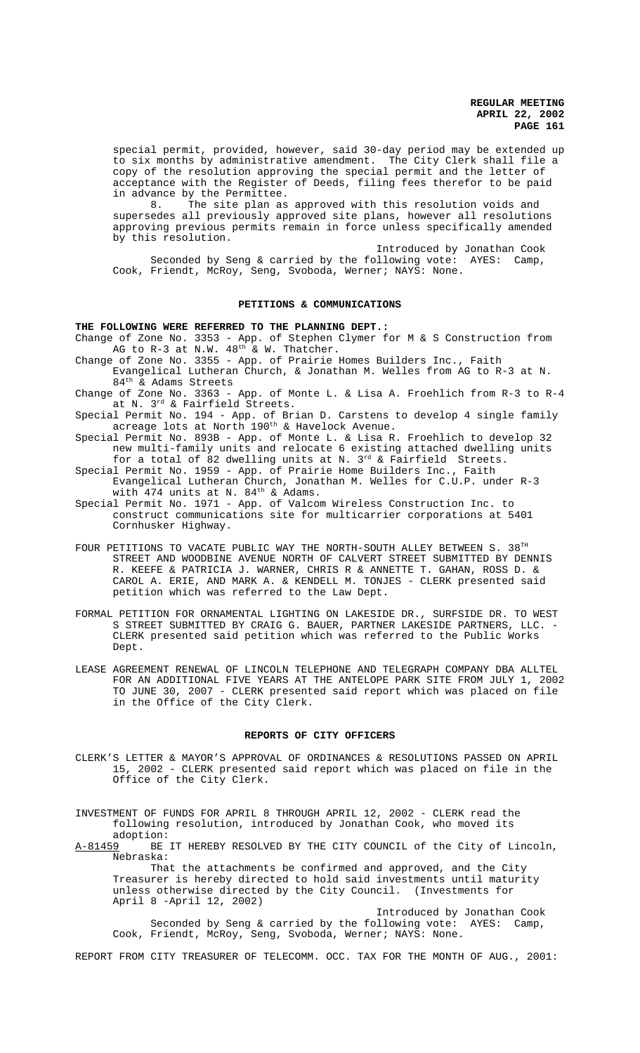special permit, provided, however, said 30-day period may be extended up to six months by administrative amendment. The City Clerk shall file a copy of the resolution approving the special permit and the letter of acceptance with the Register of Deeds, filing fees therefor to be paid in advance by the Permittee.

8. The site plan as approved with this resolution voids and supersedes all previously approved site plans, however all resolutions approving previous permits remain in force unless specifically amended by this resolution.

Introduced by Jonathan Cook Seconded by Seng & carried by the following vote: AYES: Camp, Cook, Friendt, McRoy, Seng, Svoboda, Werner; NAYS: None.

# **PETITIONS & COMMUNICATIONS**

## **THE FOLLOWING WERE REFERRED TO THE PLANNING DEPT.:**

Change of Zone No. 3353 - App. of Stephen Clymer for M & S Construction from AG to  $R-3$  at N.W.  $48<sup>th</sup>$  & W. Thatcher.

- Change of Zone No. 3355 App. of Prairie Homes Builders Inc., Faith Evangelical Lutheran Church, & Jonathan M. Welles from AG to R-3 at N. 84th & Adams Streets
- Change of Zone No. 3363 App. of Monte L. & Lisa A. Froehlich from R-3 to R-4 at N. 3rd & Fairfield Streets.

Special Permit No. 194 - App. of Brian D. Carstens to develop 4 single family acreage lots at North 190<sup>th</sup> & Havelock Avenue.

- Special Permit No. 893B App. of Monte L. & Lisa R. Froehlich to develop 32 new multi-family units and relocate 6 existing attached dwelling units for a total of  $\overline{8}2$  dwelling units at N. 3<sup>rd</sup> & Fairfield Streets.
- Special Permit No. 1959 App. of Prairie Home Builders Inc., Faith Evangelical Lutheran Church, Jonathan M. Welles for C.U.P. under R-3 with 474 units at N.  $84^{\text{th}}$  & Adams.
- Special Permit No. 1971 App. of Valcom Wireless Construction Inc. to construct communications site for multicarrier corporations at 5401 Cornhusker Highway.
- FOUR PETITIONS TO VACATE PUBLIC WAY THE NORTH-SOUTH ALLEY BETWEEN S. 38TH STREET AND WOODBINE AVENUE NORTH OF CALVERT STREET SUBMITTED BY DENNIS R. KEEFE & PATRICIA J. WARNER, CHRIS R & ANNETTE T. GAHAN, ROSS D. & CAROL A. ERIE, AND MARK A. & KENDELL M. TONJES - CLERK presented said petition which was referred to the Law Dept.
- FORMAL PETITION FOR ORNAMENTAL LIGHTING ON LAKESIDE DR., SURFSIDE DR. TO WEST S STREET SUBMITTED BY CRAIG G. BAUER, PARTNER LAKESIDE PARTNERS, LLC. - CLERK presented said petition which was referred to the Public Works Dept.
- LEASE AGREEMENT RENEWAL OF LINCOLN TELEPHONE AND TELEGRAPH COMPANY DBA ALLTEL FOR AN ADDITIONAL FIVE YEARS AT THE ANTELOPE PARK SITE FROM JULY 1, 2002 TO JUNE 30, 2007 - CLERK presented said report which was placed on file in the Office of the City Clerk.

#### **REPORTS OF CITY OFFICERS**

CLERK'S LETTER & MAYOR'S APPROVAL OF ORDINANCES & RESOLUTIONS PASSED ON APRIL 15, 2002 - CLERK presented said report which was placed on file in the Office of the City Clerk.

INVESTMENT OF FUNDS FOR APRIL 8 THROUGH APRIL 12, 2002 - CLERK read the following resolution, introduced by Jonathan Cook, who moved its

adoption:<br>A-81459 BE BE IT HEREBY RESOLVED BY THE CITY COUNCIL of the City of Lincoln, Nebraska:

That the attachments be confirmed and approved, and the City Treasurer is hereby directed to hold said investments until maturity unless otherwise directed by the City Council. (Investments for April 8 -April 12, 2002)

Introduced by Jonathan Cook Seconded by Seng & carried by the following vote: AYES: Camp, Cook, Friendt, McRoy, Seng, Svoboda, Werner; NAYS: None.

REPORT FROM CITY TREASURER OF TELECOMM. OCC. TAX FOR THE MONTH OF AUG., 2001: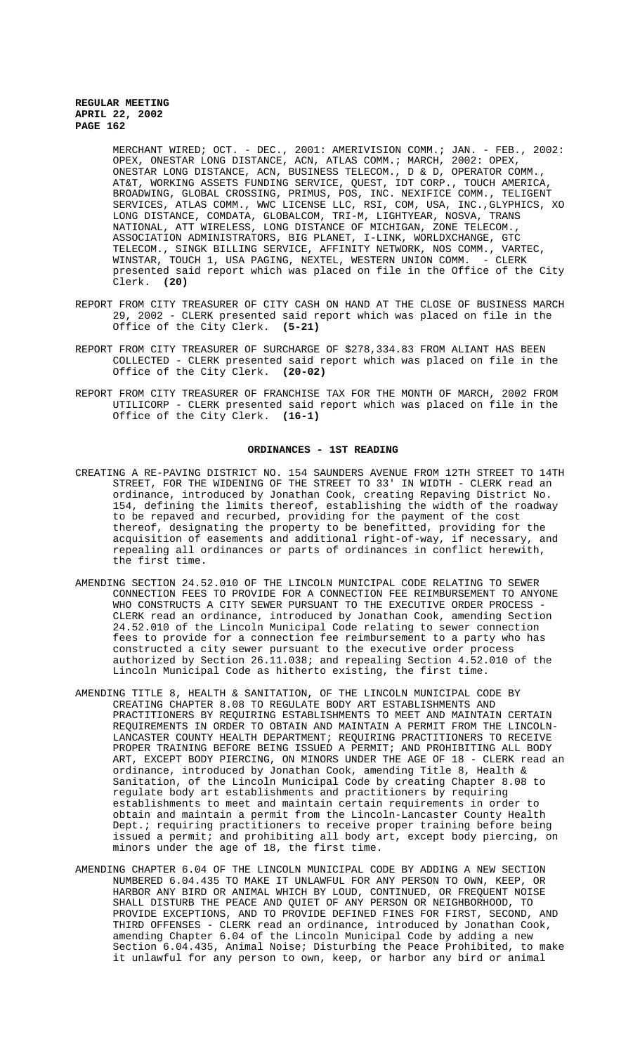MERCHANT WIRED; OCT. - DEC., 2001: AMERIVISION COMM.; JAN. - FEB., 2002: OPEX, ONESTAR LONG DISTANCE, ACN, ATLAS COMM.; MARCH, 2002: OPEX, ONESTAR LONG DISTANCE, ACN, BUSINESS TELECOM., D & D, OPERATOR COMM., AT&T, WORKING ASSETS FUNDING SERVICE, QUEST, IDT CORP., TOUCH AMERICA, BROADWING, GLOBAL CROSSING, PRIMUS, POS, INC. NEXIFICE COMM., TELIGENT SERVICES, ATLAS COMM., WWC LICENSE LLC, RSI, COM, USA, INC.,GLYPHICS, XO LONG DISTANCE, COMDATA, GLOBALCOM, TRI-M, LIGHTYEAR, NOSVA, TRANS NATIONAL, ATT WIRELESS, LONG DISTANCE OF MICHIGAN, ZONE TELECOM., ASSOCIATION ADMINISTRATORS, BIG PLANET, I-LINK, WORLDXCHANGE, GTC TELECOM., SINGK BILLING SERVICE, AFFINITY NETWORK, NOS COMM., VARTEC, WINSTAR, TOUCH 1, USA PAGING, NEXTEL, WESTERN UNION COMM. - CLERK presented said report which was placed on file in the Office of the City Clerk. **(20)**

- REPORT FROM CITY TREASURER OF CITY CASH ON HAND AT THE CLOSE OF BUSINESS MARCH 29, 2002 - CLERK presented said report which was placed on file in the Office of the City Clerk. **(5-21)**
- REPORT FROM CITY TREASURER OF SURCHARGE OF \$278,334.83 FROM ALIANT HAS BEEN COLLECTED - CLERK presented said report which was placed on file in the Office of the City Clerk. **(20-02)**
- REPORT FROM CITY TREASURER OF FRANCHISE TAX FOR THE MONTH OF MARCH, 2002 FROM UTILICORP - CLERK presented said report which was placed on file in the Office of the City Clerk. **(16-1)**

## **ORDINANCES - 1ST READING**

- CREATING A RE-PAVING DISTRICT NO. 154 SAUNDERS AVENUE FROM 12TH STREET TO 14TH STREET, FOR THE WIDENING OF THE STREET TO 33' IN WIDTH - CLERK read an ordinance, introduced by Jonathan Cook, creating Repaving District No. 154, defining the limits thereof, establishing the width of the roadway to be repaved and recurbed, providing for the payment of the cost thereof, designating the property to be benefitted, providing for the acquisition of easements and additional right-of-way, if necessary, and repealing all ordinances or parts of ordinances in conflict herewith, the first time.
- AMENDING SECTION 24.52.010 OF THE LINCOLN MUNICIPAL CODE RELATING TO SEWER CONNECTION FEES TO PROVIDE FOR A CONNECTION FEE REIMBURSEMENT TO ANYONE WHO CONSTRUCTS A CITY SEWER PURSUANT TO THE EXECUTIVE ORDER PROCESS -CLERK read an ordinance, introduced by Jonathan Cook, amending Section 24.52.010 of the Lincoln Municipal Code relating to sewer connection fees to provide for a connection fee reimbursement to a party who has constructed a city sewer pursuant to the executive order process authorized by Section 26.11.038; and repealing Section 4.52.010 of the Lincoln Municipal Code as hitherto existing, the first time.
- AMENDING TITLE 8, HEALTH & SANITATION, OF THE LINCOLN MUNICIPAL CODE BY CREATING CHAPTER 8.08 TO REGULATE BODY ART ESTABLISHMENTS AND PRACTITIONERS BY REQUIRING ESTABLISHMENTS TO MEET AND MAINTAIN CERTAIN REQUIREMENTS IN ORDER TO OBTAIN AND MAINTAIN A PERMIT FROM THE LINCOLN-LANCASTER COUNTY HEALTH DEPARTMENT; REQUIRING PRACTITIONERS TO RECEIVE PROPER TRAINING BEFORE BEING ISSUED A PERMIT; AND PROHIBITING ALL BODY ART, EXCEPT BODY PIERCING, ON MINORS UNDER THE AGE OF 18 - CLERK read an ordinance, introduced by Jonathan Cook, amending Title 8, Health & Sanitation, of the Lincoln Municipal Code by creating Chapter 8.08 to regulate body art establishments and practitioners by requiring establishments to meet and maintain certain requirements in order to obtain and maintain a permit from the Lincoln-Lancaster County Health Dept.; requiring practitioners to receive proper training before being issued a permit; and prohibiting all body art, except body piercing, on minors under the age of 18, the first time.
- AMENDING CHAPTER 6.04 OF THE LINCOLN MUNICIPAL CODE BY ADDING A NEW SECTION NUMBERED 6.04.435 TO MAKE IT UNLAWFUL FOR ANY PERSON TO OWN, KEEP, OR HARBOR ANY BIRD OR ANIMAL WHICH BY LOUD, CONTINUED, OR FREQUENT NOISE SHALL DISTURB THE PEACE AND QUIET OF ANY PERSON OR NEIGHBORHOOD, TO PROVIDE EXCEPTIONS, AND TO PROVIDE DEFINED FINES FOR FIRST, SECOND, AND THIRD OFFENSES - CLERK read an ordinance, introduced by Jonathan Cook, amending Chapter 6.04 of the Lincoln Municipal Code by adding a new Section 6.04.435, Animal Noise; Disturbing the Peace Prohibited, to make it unlawful for any person to own, keep, or harbor any bird or animal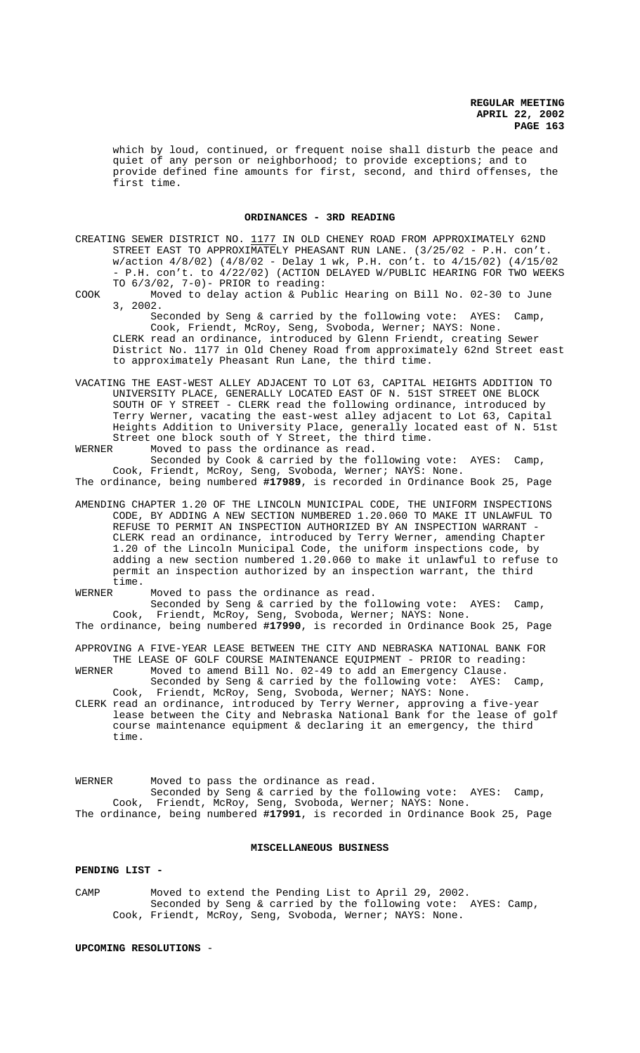which by loud, continued, or frequent noise shall disturb the peace and quiet of any person or neighborhood; to provide exceptions; and to provide defined fine amounts for first, second, and third offenses, the first time.

#### **ORDINANCES - 3RD READING**

- CREATING SEWER DISTRICT NO. 1177 IN OLD CHENEY ROAD FROM APPROXIMATELY 62ND STREET EAST TO APPROXIMATELY PHEASANT RUN LANE. (3/25/02 - P.H. con't. w/action 4/8/02) (4/8/02 - Delay 1 wk, P.H. con't. to 4/15/02) (4/15/02 - P.H. con't. to 4/22/02) (ACTION DELAYED W/PUBLIC HEARING FOR TWO WEEKS TO 6/3/02, 7-0)- PRIOR to reading:
- COOK Moved to delay action & Public Hearing on Bill No. 02-30 to June 3, 2002.

 Seconded by Seng & carried by the following vote: AYES: Camp, Cook, Friendt, McRoy, Seng, Svoboda, Werner; NAYS: None. CLERK read an ordinance, introduced by Glenn Friendt, creating Sewer District No. 1177 in Old Cheney Road from approximately 62nd Street east to approximately Pheasant Run Lane, the third time.

VACATING THE EAST-WEST ALLEY ADJACENT TO LOT 63, CAPITAL HEIGHTS ADDITION TO UNIVERSITY PLACE, GENERALLY LOCATED EAST OF N. 51ST STREET ONE BLOCK SOUTH OF Y STREET - CLERK read the following ordinance, introduced by Terry Werner, vacating the east-west alley adjacent to Lot 63, Capital Heights Addition to University Place, generally located east of N. 51st Street one block south of Y Street, the third time.<br>WERNER Moved to pass the ordinance as read

Moved to pass the ordinance as read.

Seconded by Cook & carried by the following vote: AYES: Camp, Cook, Friendt, McRoy, Seng, Svoboda, Werner; NAYS: None. The ordinance, being numbered **#17989**, is recorded in Ordinance Book 25, Page

- AMENDING CHAPTER 1.20 OF THE LINCOLN MUNICIPAL CODE, THE UNIFORM INSPECTIONS CODE, BY ADDING A NEW SECTION NUMBERED 1.20.060 TO MAKE IT UNLAWFUL TO REFUSE TO PERMIT AN INSPECTION AUTHORIZED BY AN INSPECTION WARRANT -CLERK read an ordinance, introduced by Terry Werner, amending Chapter 1.20 of the Lincoln Municipal Code, the uniform inspections code, by adding a new section numbered 1.20.060 to make it unlawful to refuse to permit an inspection authorized by an inspection warrant, the third time.<br>WERNER
- Moved to pass the ordinance as read.

Seconded by Seng & carried by the following vote: AYES: Camp, Cook, Friendt, McRoy, Seng, Svoboda, Werner; NAYS: None.

The ordinance, being numbered **#17990**, is recorded in Ordinance Book 25, Page

APPROVING A FIVE-YEAR LEASE BETWEEN THE CITY AND NEBRASKA NATIONAL BANK FOR THE LEASE OF GOLF COURSE MAINTENANCE EQUIPMENT - PRIOR to reading:<br>WERNER Moved to amend Bill No. 02-49 to add an Emergency Clause. Moved to amend Bill No. 02-49 to add an Emergency Clause.

- Seconded by Seng & carried by the following vote: AYES: Camp, Cook, Friendt, McRoy, Seng, Svoboda, Werner; NAYS: None.
- CLERK read an ordinance, introduced by Terry Werner, approving a five-year lease between the City and Nebraska National Bank for the lease of golf course maintenance equipment & declaring it an emergency, the third time.

WERNER Moved to pass the ordinance as read. Seconded by Seng & carried by the following vote: AYES: Camp, Cook, Friendt, McRoy, Seng, Svoboda, Werner; NAYS: None. The ordinance, being numbered **#17991**, is recorded in Ordinance Book 25, Page

#### **MISCELLANEOUS BUSINESS**

#### **PENDING LIST -**

CAMP Moved to extend the Pending List to April 29, 2002. Seconded by Seng & carried by the following vote: AYES: Camp, Cook, Friendt, McRoy, Seng, Svoboda, Werner; NAYS: None.

# **UPCOMING RESOLUTIONS** -